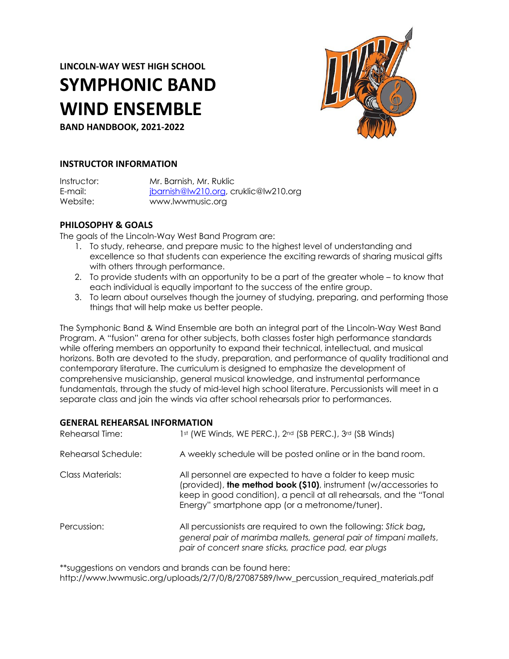**LINCOLN-WAY WEST HIGH SCHOOL**

# **SYMPHONIC BAND WIND ENSEMBLE**

**BAND HANDBOOK, 2021-2022**



## **INSTRUCTOR INFORMATION**

| Instructor: | Mr. Barnish, Mr. Ruklic               |
|-------------|---------------------------------------|
| E-mail: I   | jbarnish@lw210.org, cruklic@lw210.org |
| Website: .  | www.lwwmusic.org                      |

## **PHILOSOPHY & GOALS**

The goals of the Lincoln-Way West Band Program are:

- 1. To study, rehearse, and prepare music to the highest level of understanding and excellence so that students can experience the exciting rewards of sharing musical gifts with others through performance.
- 2. To provide students with an opportunity to be a part of the greater whole to know that each individual is equally important to the success of the entire group.
- 3. To learn about ourselves though the journey of studying, preparing, and performing those things that will help make us better people.

The Symphonic Band & Wind Ensemble are both an integral part of the Lincoln-Way West Band Program. A "fusion" arena for other subjects, both classes foster high performance standards while offering members an opportunity to expand their technical, intellectual, and musical horizons. Both are devoted to the study, preparation, and performance of quality traditional and contemporary literature. The curriculum is designed to emphasize the development of comprehensive musicianship, general musical knowledge, and instrumental performance fundamentals, through the study of mid-level high school literature. Percussionists will meet in a separate class and join the winds via after school rehearsals prior to performances.

## **GENERAL REHEARSAL INFORMATION**

| Rehearsal Time:     | 1st (WE Winds, WE PERC.), 2nd (SB PERC.), 3rd (SB Winds)                                                                                                                                                                                               |
|---------------------|--------------------------------------------------------------------------------------------------------------------------------------------------------------------------------------------------------------------------------------------------------|
| Rehearsal Schedule: | A weekly schedule will be posted online or in the band room.                                                                                                                                                                                           |
| Class Materials:    | All personnel are expected to have a folder to keep music<br>(provided), the method book (\$10), instrument (w/accessories to<br>keep in good condition), a pencil at all rehearsals, and the "Tonal<br>Energy" smartphone app (or a metronome/tuner). |
| Percussion:         | All percussionists are required to own the following: Stick bag,<br>general pair of marimba mallets, general pair of timpani mallets,<br>pair of concert snare sticks, practice pad, ear plugs                                                         |

\*\*suggestions on vendors and brands can be found here:

http://www.lwwmusic.org/uploads/2/7/0/8/27087589/lww\_percussion\_required\_materials.pdf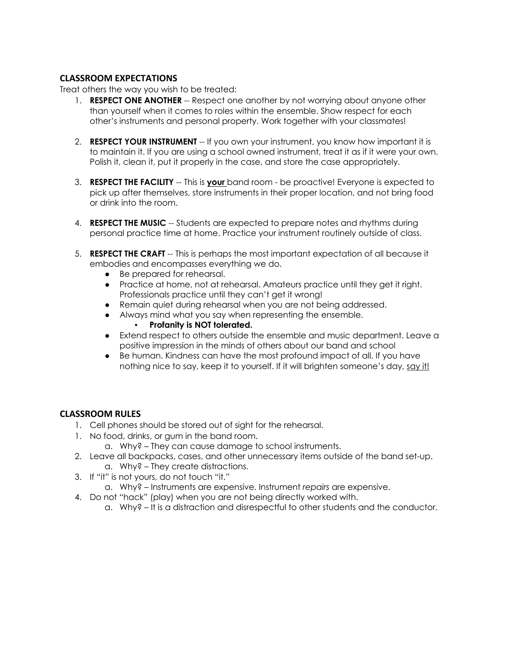## **CLASSROOM EXPECTATIONS**

Treat others the way you wish to be treated:

- 1. **RESPECT ONE ANOTHER** -- Respect one another by not worrying about anyone other than yourself when it comes to roles within the ensemble. Show respect for each other's instruments and personal property. Work together with your classmates!
- 2. **RESPECT YOUR INSTRUMENT** -- If you own your instrument, you know how important it is to maintain it. If you are using a school owned instrument, treat it as if it were your own. Polish it, clean it, put it properly in the case, and store the case appropriately.
- 3. **RESPECT THE FACILITY** -- This is **your** band room be proactive! Everyone is expected to pick up after themselves, store instruments in their proper location, and not bring food or drink into the room.
- 4. **RESPECT THE MUSIC** -- Students are expected to prepare notes and rhythms during personal practice time at home. Practice your instrument routinely outside of class.
- 5. **RESPECT THE CRAFT** -- This is perhaps the most important expectation of all because it embodies and encompasses everything we do.
	- Be prepared for rehearsal.
	- Practice at home, not at rehearsal. Amateurs practice until they get it right. Professionals practice until they can't get it wrong!
	- Remain quiet during rehearsal when you are not being addressed.
	- Always mind what you say when representing the ensemble.
		- **Profanity is NOT tolerated.**
	- Extend respect to others outside the ensemble and music department. Leave a positive impression in the minds of others about our band and school
	- Be human. Kindness can have the most profound impact of all. If you have nothing nice to say, keep it to yourself. If it will brighten someone's day, say it!

## **CLASSROOM RULES**

- 1. Cell phones should be stored out of sight for the rehearsal.
- 1. No food, drinks, or gum in the band room.
	- a. Why? They can cause damage to school instruments.
- 2. Leave all backpacks, cases, and other unnecessary items outside of the band set-up. a. Why? – They create distractions.
- 3. If "it" is not yours, do not touch "it."
	- a. Why? Instruments are expensive. Instrument *repairs* are expensive.
- 4. Do not "hack" (play) when you are not being directly worked with.
	- a. Why? It is a distraction and disrespectful to other students and the conductor.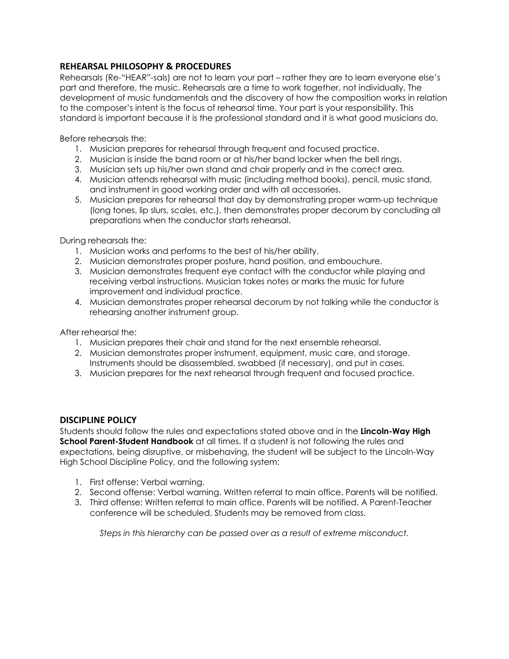## **REHEARSAL PHILOSOPHY & PROCEDURES**

Rehearsals (Re-"HEAR"-sals) are not to learn your part – rather they are to learn everyone else's part and therefore, the music. Rehearsals are a time to work together, not individually. The development of music fundamentals and the discovery of how the composition works in relation to the composer's intent is the focus of rehearsal time. Your part is your responsibility. This standard is important because it is the professional standard and it is what good musicians do.

Before rehearsals the:

- 1. Musician prepares for rehearsal through frequent and focused practice.
- 2. Musician is inside the band room or at his/her band locker when the bell rings.
- 3. Musician sets up his/her own stand and chair properly and in the correct area.
- 4. Musician attends rehearsal with music (including method books), pencil, music stand, and instrument in good working order and with all accessories.
- 5. Musician prepares for rehearsal that day by demonstrating proper warm-up technique (long tones, lip slurs, scales, etc.), then demonstrates proper decorum by concluding all preparations when the conductor starts rehearsal.

During rehearsals the:

- 1. Musician works and performs to the best of his/her ability.
- 2. Musician demonstrates proper posture, hand position, and embouchure.
- 3. Musician demonstrates frequent eye contact with the conductor while playing and receiving verbal instructions. Musician takes notes or marks the music for future improvement and individual practice.
- 4. Musician demonstrates proper rehearsal decorum by not talking while the conductor is rehearsing another instrument group.

After rehearsal the:

- 1. Musician prepares their chair and stand for the next ensemble rehearsal.
- 2. Musician demonstrates proper instrument, equipment, music care, and storage. Instruments should be disassembled, swabbed (if necessary), and put in cases.
- 3. Musician prepares for the next rehearsal through frequent and focused practice.

## **DISCIPLINE POLICY**

Students should follow the rules and expectations stated above and in the **Lincoln-Way High School Parent-Student Handbook** at all times. If a student is not following the rules and expectations, being disruptive, or misbehaving, the student will be subject to the Lincoln-Way High School Discipline Policy, and the following system:

- 1. First offense: Verbal warning.
- 2. Second offense: Verbal warning. Written referral to main office. Parents will be notified.
- 3. Third offense: Written referral to main office. Parents will be notified. A Parent-Teacher conference will be scheduled. Students may be removed from class.

*Steps in this hierarchy can be passed over as a result of extreme misconduct.*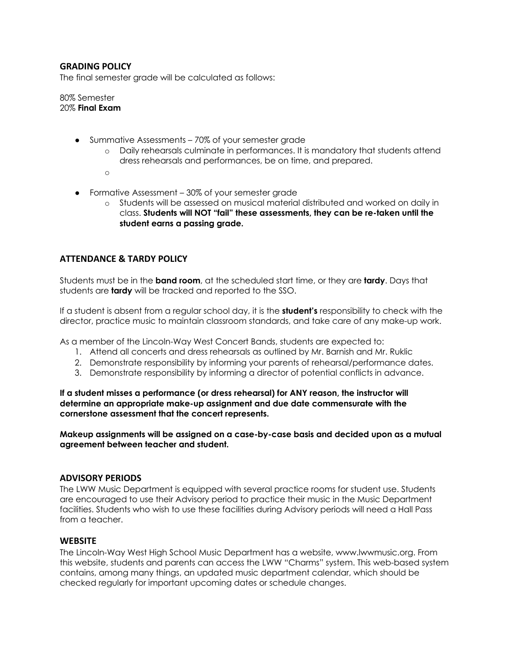## **GRADING POLICY**

The final semester grade will be calculated as follows:

80% Semester 20% **Final Exam**

- Summative Assessments 70% of your semester grade
	- o Daily rehearsals culminate in performances. It is mandatory that students attend dress rehearsals and performances, be on time, and prepared.
	- $\sim$
- Formative Assessment 30% of your semester grade
	- o Students will be assessed on musical material distributed and worked on daily in class. **Students will NOT "fail" these assessments, they can be re-taken until the student earns a passing grade.**

## **ATTENDANCE & TARDY POLICY**

Students must be in the **band room**, at the scheduled start time, or they are **tardy**. Days that students are **tardy** will be tracked and reported to the SSO.

If a student is absent from a regular school day, it is the **student's** responsibility to check with the director, practice music to maintain classroom standards, and take care of any make-up work.

As a member of the Lincoln-Way West Concert Bands, students are expected to:

- 1. Attend all concerts and dress rehearsals as outlined by Mr. Barnish and Mr. Ruklic
- 2. Demonstrate responsibility by informing your parents of rehearsal/performance dates.
- 3. Demonstrate responsibility by informing a director of potential conflicts in advance.

**If a student misses a performance (or dress rehearsal) for ANY reason, the instructor will determine an appropriate make-up assignment and due date commensurate with the cornerstone assessment that the concert represents.**

**Makeup assignments will be assigned on a case-by-case basis and decided upon as a mutual agreement between teacher and student.**

#### **ADVISORY PERIODS**

The LWW Music Department is equipped with several practice rooms for student use. Students are encouraged to use their Advisory period to practice their music in the Music Department facilities. Students who wish to use these facilities during Advisory periods will need a Hall Pass from a teacher.

#### **WEBSITE**

The Lincoln-Way West High School Music Department has a website, www.lwwmusic.org. From this website, students and parents can access the LWW "Charms" system. This web-based system contains, among many things, an updated music department calendar, which should be checked regularly for important upcoming dates or schedule changes.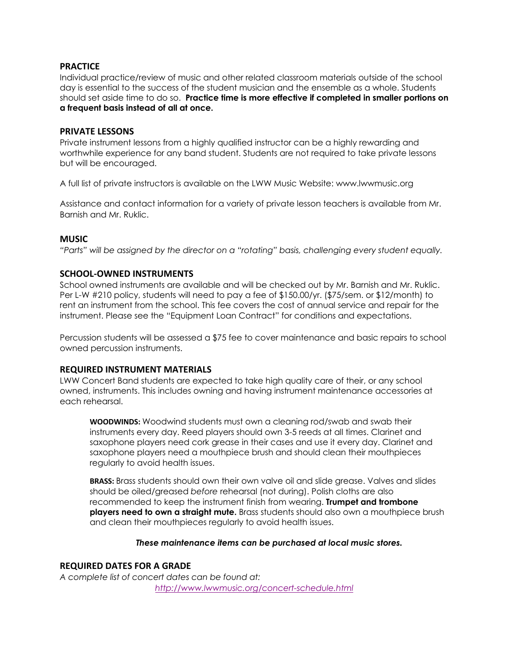## **PRACTICE**

Individual practice/review of music and other related classroom materials outside of the school day is essential to the success of the student musician and the ensemble as a whole. Students should set aside time to do so. **Practice time is more effective if completed in smaller portions on a frequent basis instead of all at once.**

## **PRIVATE LESSONS**

Private instrument lessons from a highly qualified instructor can be a highly rewarding and worthwhile experience for any band student. Students are not required to take private lessons but will be encouraged.

A full list of private instructors is available on the LWW Music Website: www.lwwmusic.org

Assistance and contact information for a variety of private lesson teachers is available from Mr. Barnish and Mr. Ruklic.

## **MUSIC**

*"Parts" will be assigned by the director on a "rotating" basis, challenging every student equally.*

## **SCHOOL-OWNED INSTRUMENTS**

School owned instruments are available and will be checked out by Mr. Barnish and Mr. Ruklic. Per L-W #210 policy, students will need to pay a fee of \$150.00/yr. (\$75/sem. or \$12/month) to rent an instrument from the school. This fee covers the cost of annual service and repair for the instrument. Please see the "Equipment Loan Contract" for conditions and expectations.

Percussion students will be assessed a \$75 fee to cover maintenance and basic repairs to school owned percussion instruments.

#### **REQUIRED INSTRUMENT MATERIALS**

LWW Concert Band students are expected to take high quality care of their, or any school owned, instruments. This includes owning and having instrument maintenance accessories at each rehearsal.

**WOODWINDS:** Woodwind students must own a cleaning rod/swab and swab their instruments every day. Reed players should own 3-5 reeds at all times. Clarinet and saxophone players need cork grease in their cases and use it every day. Clarinet and saxophone players need a mouthpiece brush and should clean their mouthpieces regularly to avoid health issues.

**BRASS:** Brass students should own their own valve oil and slide grease. Valves and slides should be oiled/greased *before* rehearsal (not during). Polish cloths are also recommended to keep the instrument finish from wearing. **Trumpet and trombone players need to own a straight mute.** Brass students should also own a mouthpiece brush and clean their mouthpieces regularly to avoid health issues.

#### *These maintenance items can be purchased at local music stores.*

## **REQUIRED DATES FOR A GRADE**

*A complete list of concert dates can be found at: http://www.lwwmusic.org/concert-schedule.html*